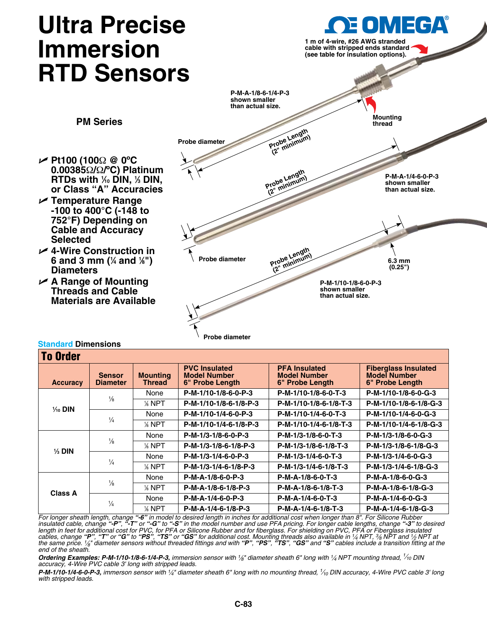# **Ultra Precise Immersion RTD Sensors**

**PM Series**



## **Standard Dimensions**

**Selected**

**Diameters**

| <b>To Order</b>    |                                  |                                  |                                                                |                                                                |                                                                       |  |
|--------------------|----------------------------------|----------------------------------|----------------------------------------------------------------|----------------------------------------------------------------|-----------------------------------------------------------------------|--|
| <b>Accuracy</b>    | <b>Sensor</b><br><b>Diameter</b> | <b>Mounting</b><br><b>Thread</b> | <b>PVC Insulated</b><br><b>Model Number</b><br>6" Probe Length | <b>PFA Insulated</b><br><b>Model Number</b><br>6" Probe Length | <b>Fiberglass Insulated</b><br><b>Model Number</b><br>6" Probe Length |  |
|                    | $\frac{1}{8}$                    | None                             | P-M-1/10-1/8-6-0-P-3                                           | P-M-1/10-1/8-6-0-T-3                                           | P-M-1/10-1/8-6-0-G-3                                                  |  |
| $\frac{1}{10}$ DIN |                                  | % NPT                            | P-M-1/10-1/8-6-1/8-P-3                                         | P-M-1/10-1/8-6-1/8-T-3                                         | P-M-1/10-1/8-6-1/8-G-3                                                |  |
|                    | $\frac{1}{4}$                    | None                             | P-M-1/10-1/4-6-0-P-3                                           | P-M-1/10-1/4-6-0-T-3                                           | P-M-1/10-1/4-6-0-G-3                                                  |  |
|                    |                                  | % NPT                            | P-M-1/10-1/4-6-1/8-P-3                                         | P-M-1/10-1/4-6-1/8-T-3                                         | P-M-1/10-1/4-6-1/8-G-3                                                |  |
|                    | $\frac{1}{8}$                    | None                             | P-M-1/3-1/8-6-0-P-3                                            | P-M-1/3-1/8-6-0-T-3                                            | P-M-1/3-1/8-6-0-G-3                                                   |  |
| $\frac{1}{3}$ DIN  |                                  | % NPT                            | P-M-1/3-1/8-6-1/8-P-3                                          | P-M-1/3-1/8-6-1/8-T-3                                          | P-M-1/3-1/8-6-1/8-G-3                                                 |  |
|                    | $\frac{1}{4}$                    | None                             | P-M-1/3-1/4-6-0-P-3                                            | P-M-1/3-1/4-6-0-T-3                                            | P-M-1/3-1/4-6-0-G-3                                                   |  |
|                    |                                  | % NPT                            | P-M-1/3-1/4-6-1/8-P-3                                          | P-M-1/3-1/4-6-1/8-T-3                                          | P-M-1/3-1/4-6-1/8-G-3                                                 |  |
|                    | $\frac{1}{8}$                    | None                             | P-M-A-1/8-6-0-P-3                                              | P-M-A-1/8-6-0-T-3                                              | P-M-A-1/8-6-0-G-3                                                     |  |
| <b>Class A</b>     |                                  | % NPT                            | P-M-A-1/8-6-1/8-P-3                                            | P-M-A-1/8-6-1/8-T-3                                            | P-M-A-1/8-6-1/8-G-3                                                   |  |
|                    | $\frac{1}{4}$                    | None                             | P-M-A-1/4-6-0-P-3                                              | P-M-A-1/4-6-0-T-3                                              | P-M-A-1/4-6-0-G-3                                                     |  |
|                    |                                  | % NPT                            | P-M-A-1/4-6-1/8-P-3                                            | P-M-A-1/4-6-1/8-T-3                                            | P-M-A-1/4-6-1/8-G-3                                                   |  |

For longer sheath length, change "**-6**" in model to desired length in inches for additional cost when longer than 8". For Silicone Rubber<br>insulated cable, change "**-P**", "**-T**" or "**-G**" to "**-S**" in the model number and u length in feet for additional cost for PVC, for PFA or Silicone Rubber and for fiberglass. For shielding on PVC, PFA or Fiberglass insulated<br>cables, change "**P**", "T" or "**G**" to "**PS**", "TS" or "GS" for additional cost. M *the same price. 1⁄8" diameter sensors without threaded fittings and with "P", "PS", "TS", "GS" and "S" cables include a transition fitting at the end of the sheath.*

*Ordering Examples: P-M-1/10-1/8-6-1/4-P-3, immersion sensor with 1⁄8" diameter sheath 6" long with 1⁄4 NPT mounting thread, 1⁄10 DIN accuracy, 4-Wire PVC cable 3' long with stripped leads.* 

*P-M-1/10-1/4-6-0-P-3, immerson sensor with 1⁄4" diameter sheath 6" long with no mounting thread, 1⁄10 DIN accuracy, 4-Wire PVC cable 3' long with stripped leads.*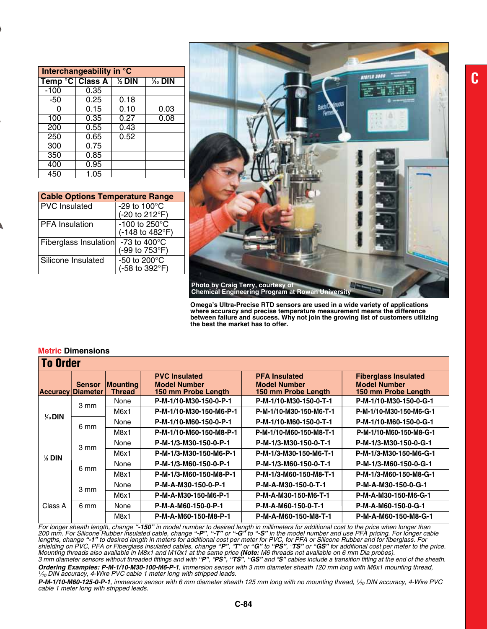| Interchangeability in °C |      |         |                    |  |  |
|--------------------------|------|---------|--------------------|--|--|
| Temp °C Class A          |      | $%$ DIN | $\frac{1}{10}$ DIN |  |  |
| $-100$                   | 0.35 |         |                    |  |  |
| -50                      | 0.25 | 0.18    |                    |  |  |
| O                        | 0.15 | 0.10    | 0.03               |  |  |
| 100                      | 0.35 | 0.27    | 0.08               |  |  |
| 200                      | 0.55 | 0.43    |                    |  |  |
| 250                      | 0.65 | 0.52    |                    |  |  |
| 300                      | 0.75 |         |                    |  |  |
| 350                      | 0.85 |         |                    |  |  |
| 400                      | 0.95 |         |                    |  |  |
| 450                      | 1.05 |         |                    |  |  |

| <b>Cable Options Temperature Range</b> |                                  |
|----------------------------------------|----------------------------------|
| <b>PVC</b> Insulated                   | -29 to 100°C<br>(-20 to 212°F)   |
| <b>PFA</b> Insulation                  | -100 to 250°C<br>(-148 to 482°F) |
| Fiberglass Insulation                  | -73 to 400°C<br>(-99 to 753°F)   |
| Silicone Insulated                     | -50 to 200°C<br>(-58 to 392°F)   |



**Omega's Ultra-Precise RTD sensors are used in a wide variety of applications where accuracy and precise temperature measurement means the difference between failure and success. Why not join the growing list of customers utilizing the best the market has to offer.**

| <b>Metric Dimensions</b> |  |
|--------------------------|--|
|--------------------------|--|

| <b>To Order</b>    |                                           |                           |                                                                    |                                                                    |                                                                           |  |
|--------------------|-------------------------------------------|---------------------------|--------------------------------------------------------------------|--------------------------------------------------------------------|---------------------------------------------------------------------------|--|
|                    | <b>Sensor</b><br><b>Accuracy Diameter</b> | <b>Mounting</b><br>Thread | <b>PVC Insulated</b><br><b>Model Number</b><br>150 mm Probe Length | <b>PFA Insulated</b><br><b>Model Number</b><br>150 mm Probe Length | <b>Fiberglass Insulated</b><br><b>Model Number</b><br>150 mm Probe Length |  |
|                    | 3 mm                                      | None                      | P-M-1/10-M30-150-0-P-1                                             | P-M-1/10-M30-150-0-T-1                                             | P-M-1/10-M30-150-0-G-1                                                    |  |
| $\frac{1}{40}$ DIN |                                           | M6x1                      | P-M-1/10-M30-150-M6-P-1                                            | P-M-1/10-M30-150-M6-T-1                                            | P-M-1/10-M30-150-M6-G-1                                                   |  |
|                    | 6 mm                                      | None                      | P-M-1/10-M60-150-0-P-1                                             | P-M-1/10-M60-150-0-T-1                                             | P-M-1/10-M60-150-0-G-1                                                    |  |
|                    |                                           | M8x1                      | P-M-1/10-M60-150-M8-P-1                                            | P-M-1/10-M60-150-M8-T-1                                            | P-M-1/10-M60-150-M8-G-1                                                   |  |
|                    | 3 mm                                      | None                      | P-M-1/3-M30-150-0-P-1                                              | P-M-1/3-M30-150-0-T-1                                              | P-M-1/3-M30-150-0-G-1                                                     |  |
| $%$ DIN            |                                           | M6x1                      | P-M-1/3-M30-150-M6-P-1                                             | P-M-1/3-M30-150-M6-T-1                                             | P-M-1/3-M30-150-M6-G-1                                                    |  |
|                    | 6 mm                                      | None                      | P-M-1/3-M60-150-0-P-1                                              | P-M-1/3-M60-150-0-T-1                                              | P-M-1/3-M60-150-0-G-1                                                     |  |
|                    |                                           | M8x1                      | P-M-1/3-M60-150-M8-P-1                                             | P-M-1/3-M60-150-M8-T-1                                             | P-M-1/3-M60-150-M8-G-1                                                    |  |
|                    | 3 mm                                      | None                      | P-M-A-M30-150-0-P-1                                                | P-M-A-M30-150-0-T-1                                                | P-M-A-M30-150-0-G-1                                                       |  |
|                    |                                           | M6x1                      | P-M-A-M30-150-M6-P-1                                               | P-M-A-M30-150-M6-T-1                                               | P-M-A-M30-150-M6-G-1                                                      |  |
| Class A            | 6 mm                                      | None                      | P-M-A-M60-150-0-P-1                                                | P-M-A-M60-150-0-T-1                                                | P-M-A-M60-150-0-G-1                                                       |  |
|                    |                                           | M8x1                      | P-M-A-M60-150-M8-P-1                                               | P-M-A-M60-150-M8-T-1                                               | P-M-A-M60-150-M8-G-1                                                      |  |

*For longer sheath length, change "-150" in model number to desired length in millimeters for additional cost to the price when longer than 200 mm. For Silicone Rubber insulated cable, change "-P", "-T" or "-G" to "-S" in the model number and use PFA pricing. For longer cable lengths, change "-1" to desired length in meters for additional cost per meter for PVC, for PFA or Silicone Rubber and for fiberglass. For*  shielding on PVC, PFA or Fiberglass insulated cables, change "P", "T" or "G" to "PS", "TS" or "GS" for additional cost per meter to the price. Mounting threads also available in M8x1 and M10x1 at the same price **(Note:** M6 threads not available on 6 mm Dia probes).<br>3 mm diameter sensors without threaded fittings and with "**P", "PS", "TS", "GS"** and "**S"** cables i

**Ordering Examples: P-M-1/10-M30-100-M6-P-1**, immersion sensor with 3 mm diameter sheath 120 mm long with M6x1 mounting thread,<br>1/<sub>10</sub> DIN accuracy, 4-Wire PVC cable 1 meter long with stripped leads.

P-M-1/10-M60-125-0-P-1, immerson sensor with 6 mm diameter sheath 125 mm long with no mounting thread, 1/<sub>10</sub> DIN accuracy, 4-Wire PVC *cable 1 meter long with stripped leads.*

**C**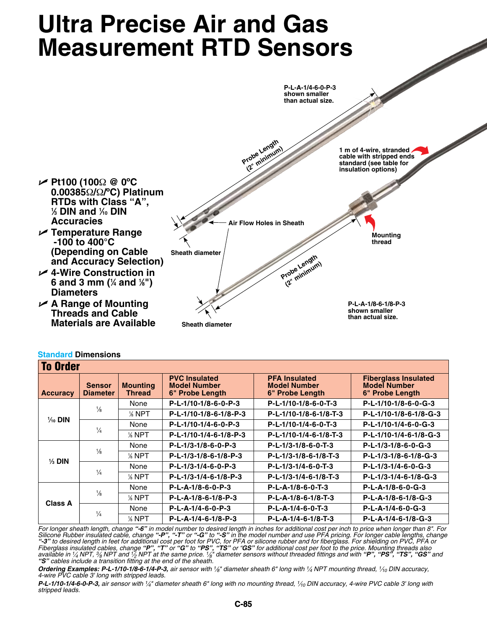# **Ultra Precise Air and Gas Measurement RTD Sensors**



| <b>To Order</b>    |                                  |                                  |                                                                |                                                                |                                                                       |
|--------------------|----------------------------------|----------------------------------|----------------------------------------------------------------|----------------------------------------------------------------|-----------------------------------------------------------------------|
| <b>Accuracy</b>    | <b>Sensor</b><br><b>Diameter</b> | <b>Mounting</b><br><b>Thread</b> | <b>PVC Insulated</b><br><b>Model Number</b><br>6" Probe Length | <b>PFA Insulated</b><br><b>Model Number</b><br>6" Probe Length | <b>Fiberglass Insulated</b><br><b>Model Number</b><br>6" Probe Length |
|                    |                                  | None                             | P-L-1/10-1/8-6-0-P-3                                           | P-L-1/10-1/8-6-0-T-3                                           | P-L-1/10-1/8-6-0-G-3                                                  |
| $\frac{1}{10}$ DIN | $\frac{1}{8}$                    | % NPT                            | P-L-1/10-1/8-6-1/8-P-3                                         | P-L-1/10-1/8-6-1/8-T-3                                         | P-L-1/10-1/8-6-1/8-G-3                                                |
|                    | $\frac{1}{4}$                    | None                             | P-L-1/10-1/4-6-0-P-3                                           | P-L-1/10-1/4-6-0-T-3                                           | P-L-1/10-1/4-6-0-G-3                                                  |
|                    |                                  | % NPT                            | P-L-1/10-1/4-6-1/8-P-3                                         | P-L-1/10-1/4-6-1/8-T-3                                         | P-L-1/10-1/4-6-1/8-G-3                                                |
|                    | $\frac{1}{8}$                    | None                             | P-L-1/3-1/8-6-0-P-3                                            | $P-L-1/3-1/8-6-0-T-3$                                          | P-L-1/3-1/8-6-0-G-3                                                   |
|                    |                                  | $%$ NPT                          | P-L-1/3-1/8-6-1/8-P-3                                          | P-L-1/3-1/8-6-1/8-T-3                                          | P-L-1/3-1/8-6-1/8-G-3                                                 |
| $\frac{1}{3}$ DIN  | $\frac{1}{4}$                    | None                             | P-L-1/3-1/4-6-0-P-3                                            | P-L-1/3-1/4-6-0-T-3                                            | P-L-1/3-1/4-6-0-G-3                                                   |
|                    |                                  | % NPT                            | P-L-1/3-1/4-6-1/8-P-3                                          | P-L-1/3-1/4-6-1/8-T-3                                          | P-L-1/3-1/4-6-1/8-G-3                                                 |
| Class A            | $\frac{1}{8}$                    | None                             | P-L-A-1/8-6-0-P-3                                              | P-L-A-1/8-6-0-T-3                                              | P-L-A-1/8-6-0-G-3                                                     |
|                    |                                  | % NPT                            | P-L-A-1/8-6-1/8-P-3                                            | P-L-A-1/8-6-1/8-T-3                                            | P-L-A-1/8-6-1/8-G-3                                                   |
|                    | $\frac{1}{4}$                    | None                             | P-L-A-1/4-6-0-P-3                                              | P-L-A-1/4-6-0-T-3                                              | P-L-A-1/4-6-0-G-3                                                     |
|                    |                                  | $%$ NPT                          | P-L-A-1/4-6-1/8-P-3                                            | P-L-A-1/4-6-1/8-T-3                                            | P-L-A-1/4-6-1/8-G-3                                                   |

## **Standard Dimensions**

*For longer sheath length, change "-6" in model number to desired length in inches for additional cost per inch to price when longer than 8". For Silicone Rubber insulated cable, change "-P", "-T" or "-G" to "-S" in the model number and use PFA pricing. For longer cable lengths, change "-3" to desired length in feet for additional cost per foot for PVC, for PFA or silicone rubber and for fiberglass. For shielding on PVC, PFA or*  Fiberglass insulated cables, change "**P", "T"** or "**G"** to "PS", "TS" or "GS" for additional cost per foot to the price. Mounting threads also<br>available in 1⁄4 NPT, 3⁄<sub>8</sub> NPT and 1⁄2 NPT at the same price. 1⁄8" diameter se

*Ordering Examples: P-L-1/10-1/8-6-1/4-P-3, air sensor with 1⁄8" diameter sheath 6" long with 1⁄4 NPT mounting thread, 1⁄10 DIN accuracy, 4-wire PVC cable 3' long with stripped leads.* 

P-L-1/10-1/4-6-0-P-3, air sensor with 1/<sub>4</sub>" diameter sheath 6" long with no mounting thread, 1/<sub>10</sub> DIN accuracy, 4-wire PVC cable 3' long with *stripped leads.*